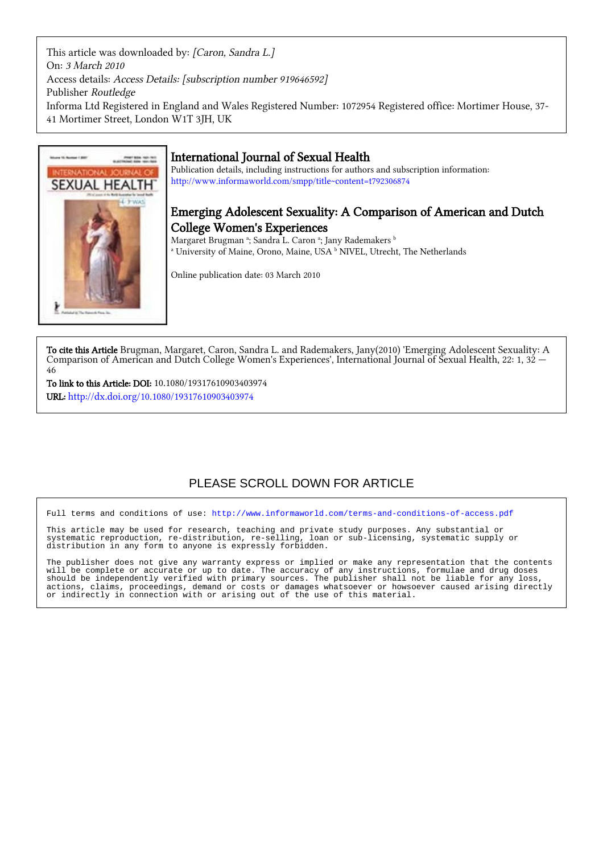This article was downloaded by: [Caron, Sandra L.] On: 3 March 2010 Access details: Access Details: [subscription number 919646592] Publisher Routledge Informa Ltd Registered in England and Wales Registered Number: 1072954 Registered office: Mortimer House, 37- 41 Mortimer Street, London W1T 3JH, UK



# International Journal of Sexual Health

Publication details, including instructions for authors and subscription information: <http://www.informaworld.com/smpp/title~content=t792306874>

# Emerging Adolescent Sexuality: A Comparison of American and Dutch College Women's Experiences

Margaret Brugman ª; Sandra L. Caron ª; Jany Rademakers  $^{\rm b}$ <sup>a</sup> University of Maine, Orono, Maine, USA <sup>b</sup> NIVEL, Utrecht, The Netherlands

Online publication date: 03 March 2010

To cite this Article Brugman, Margaret, Caron, Sandra L. and Rademakers, Jany(2010) 'Emerging Adolescent Sexuality: A Comparison of American and Dutch College Women's Experiences', International Journal of Sexual Health, 22: 1, 32 — 46

To link to this Article: DOI: 10.1080/19317610903403974 URL: <http://dx.doi.org/10.1080/19317610903403974>

# PLEASE SCROLL DOWN FOR ARTICLE

Full terms and conditions of use:<http://www.informaworld.com/terms-and-conditions-of-access.pdf>

This article may be used for research, teaching and private study purposes. Any substantial or systematic reproduction, re-distribution, re-selling, loan or sub-licensing, systematic supply or distribution in any form to anyone is expressly forbidden.

The publisher does not give any warranty express or implied or make any representation that the contents will be complete or accurate or up to date. The accuracy of any instructions, formulae and drug doses should be independently verified with primary sources. The publisher shall not be liable for any loss, actions, claims, proceedings, demand or costs or damages whatsoever or howsoever caused arising directly or indirectly in connection with or arising out of the use of this material.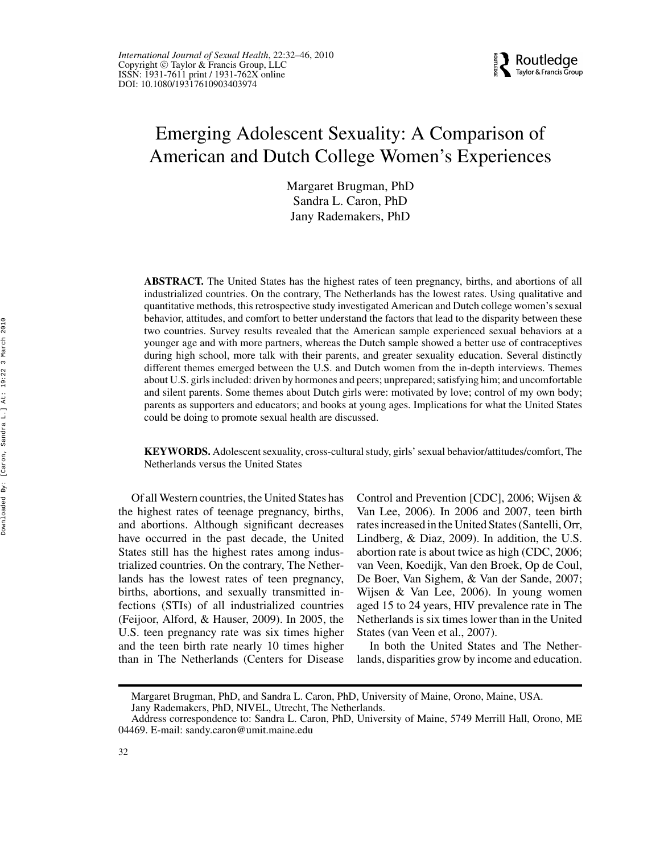

# Emerging Adolescent Sexuality: A Comparison of American and Dutch College Women's Experiences

Margaret Brugman, PhD Sandra L. Caron, PhD Jany Rademakers, PhD

**ABSTRACT.** The United States has the highest rates of teen pregnancy, births, and abortions of all industrialized countries. On the contrary, The Netherlands has the lowest rates. Using qualitative and quantitative methods, this retrospective study investigated American and Dutch college women's sexual behavior, attitudes, and comfort to better understand the factors that lead to the disparity between these two countries. Survey results revealed that the American sample experienced sexual behaviors at a younger age and with more partners, whereas the Dutch sample showed a better use of contraceptives during high school, more talk with their parents, and greater sexuality education. Several distinctly different themes emerged between the U.S. and Dutch women from the in-depth interviews. Themes about U.S. girls included: driven by hormones and peers; unprepared; satisfying him; and uncomfortable and silent parents. Some themes about Dutch girls were: motivated by love; control of my own body; parents as supporters and educators; and books at young ages. Implications for what the United States could be doing to promote sexual health are discussed.

**KEYWORDS.** Adolescent sexuality, cross-cultural study, girls' sexual behavior/attitudes/comfort, The Netherlands versus the United States

Of all Western countries, the United States has the highest rates of teenage pregnancy, births, and abortions. Although significant decreases have occurred in the past decade, the United States still has the highest rates among industrialized countries. On the contrary, The Netherlands has the lowest rates of teen pregnancy, births, abortions, and sexually transmitted infections (STIs) of all industrialized countries (Feijoor, Alford, & Hauser, 2009). In 2005, the U.S. teen pregnancy rate was six times higher and the teen birth rate nearly 10 times higher than in The Netherlands (Centers for Disease Control and Prevention [CDC], 2006; Wijsen & Van Lee, 2006). In 2006 and 2007, teen birth rates increased in the United States (Santelli, Orr, Lindberg, & Diaz, 2009). In addition, the U.S. abortion rate is about twice as high (CDC, 2006; van Veen, Koedijk, Van den Broek, Op de Coul, De Boer, Van Sighem, & Van der Sande, 2007; Wijsen & Van Lee, 2006). In young women aged 15 to 24 years, HIV prevalence rate in The Netherlands is six times lower than in the United States (van Veen et al., 2007).

In both the United States and The Netherlands, disparities grow by income and education.

Margaret Brugman, PhD, and Sandra L. Caron, PhD, University of Maine, Orono, Maine, USA.

Jany Rademakers, PhD, NIVEL, Utrecht, The Netherlands.

Address correspondence to: Sandra L. Caron, PhD, University of Maine, 5749 Merrill Hall, Orono, ME 04469. E-mail: sandy.caron@umit.maine.edu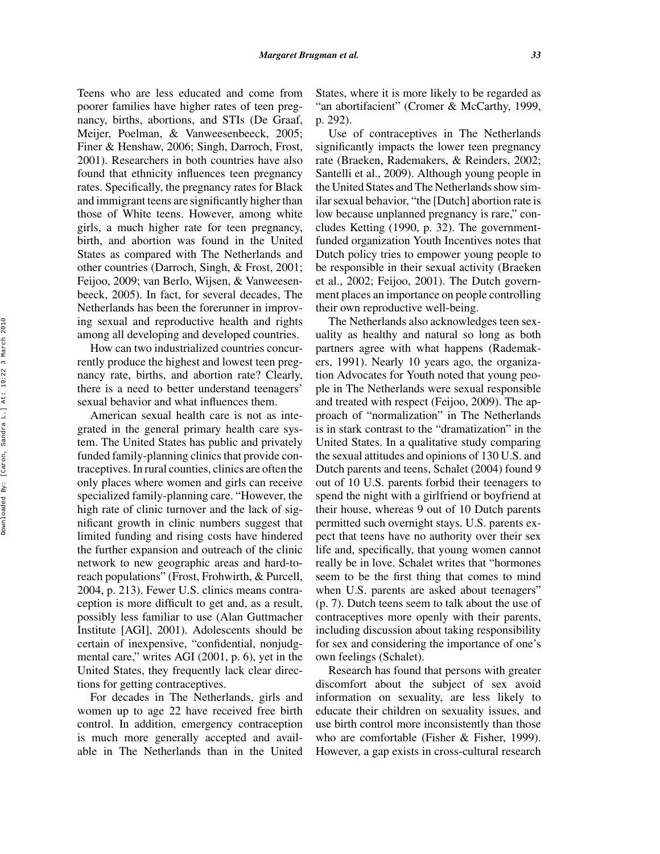Teens who are less educated and come from poorer families have higher rates of teen pregnancy, births, abortions, and STIs (De Graaf, Meijer, Poelman, & Vanweesenbeeck, 2005; Finer & Henshaw, 2006; Singh, Darroch, Frost, 2001). Researchers in both countries have also found that ethnicity influences teen pregnancy rates. Specifically, the pregnancy rates for Black and immigrant teens are significantly higher than those of White teens. However, among white girls, a much higher rate for teen pregnancy, birth, and abortion was found in the United States as compared with The Netherlands and other countries (Darroch, Singh, & Frost, 2001; Feijoo, 2009; van Berlo, Wijsen, & Vanweesenbeeck, 2005). In fact, for several decades, The Netherlands has been the forerunner in improving sexual and reproductive health and rights among all developing and developed countries.

How can two industrialized countries concurrently produce the highest and lowest teen pregnancy rate, births, and abortion rate? Clearly, there is a need to better understand teenagers' sexual behavior and what influences them.

American sexual health care is not as integrated in the general primary health care system. The United States has public and privately funded family-planning clinics that provide contraceptives. In rural counties, clinics are often the only places where women and girls can receive specialized family-planning care. "However, the high rate of clinic turnover and the lack of significant growth in clinic numbers suggest that limited funding and rising costs have hindered the further expansion and outreach of the clinic network to new geographic areas and hard-toreach populations" (Frost, Frohwirth, & Purcell, 2004, p. 213). Fewer U.S. clinics means contraception is more difficult to get and, as a result, possibly less familiar to use (Alan Guttmacher Institute [AGI], 2001). Adolescents should be certain of inexpensive, "confidential, nonjudgmental care," writes AGI (2001, p. 6), yet in the United States, they frequently lack clear directions for getting contraceptives.

For decades in The Netherlands, girls and women up to age 22 have received free birth control. In addition, emergency contraception is much more generally accepted and available in The Netherlands than in the United

States, where it is more likely to be regarded as "an abortifacient" (Cromer & McCarthy, 1999, p. 292).

Use of contraceptives in The Netherlands significantly impacts the lower teen pregnancy rate (Braeken, Rademakers, & Reinders, 2002; Santelli et al., 2009). Although young people in the United States and The Netherlands show similar sexual behavior, "the [Dutch] abortion rate is low because unplanned pregnancy is rare," concludes Ketting (1990, p. 32). The governmentfunded organization Youth Incentives notes that Dutch policy tries to empower young people to be responsible in their sexual activity (Braeken et al., 2002; Feijoo, 2001). The Dutch government places an importance on people controlling their own reproductive well-being.

The Netherlands also acknowledges teen sexuality as healthy and natural so long as both partners agree with what happens (Rademakers, 1991). Nearly 10 years ago, the organization Advocates for Youth noted that young people in The Netherlands were sexual responsible and treated with respect (Feijoo, 2009). The approach of "normalization" in The Netherlands is in stark contrast to the "dramatization" in the United States. In a qualitative study comparing the sexual attitudes and opinions of 130 U.S. and Dutch parents and teens, Schalet (2004) found 9 out of 10 U.S. parents forbid their teenagers to spend the night with a girlfriend or boyfriend at their house, whereas 9 out of 10 Dutch parents permitted such overnight stays. U.S. parents expect that teens have no authority over their sex life and, specifically, that young women cannot really be in love. Schalet writes that "hormones seem to be the first thing that comes to mind when U.S. parents are asked about teenagers" (p. 7). Dutch teens seem to talk about the use of contraceptives more openly with their parents, including discussion about taking responsibility for sex and considering the importance of one's own feelings (Schalet).

Research has found that persons with greater discomfort about the subject of sex avoid information on sexuality, are less likely to educate their children on sexuality issues, and use birth control more inconsistently than those who are comfortable (Fisher & Fisher, 1999). However, a gap exists in cross-cultural research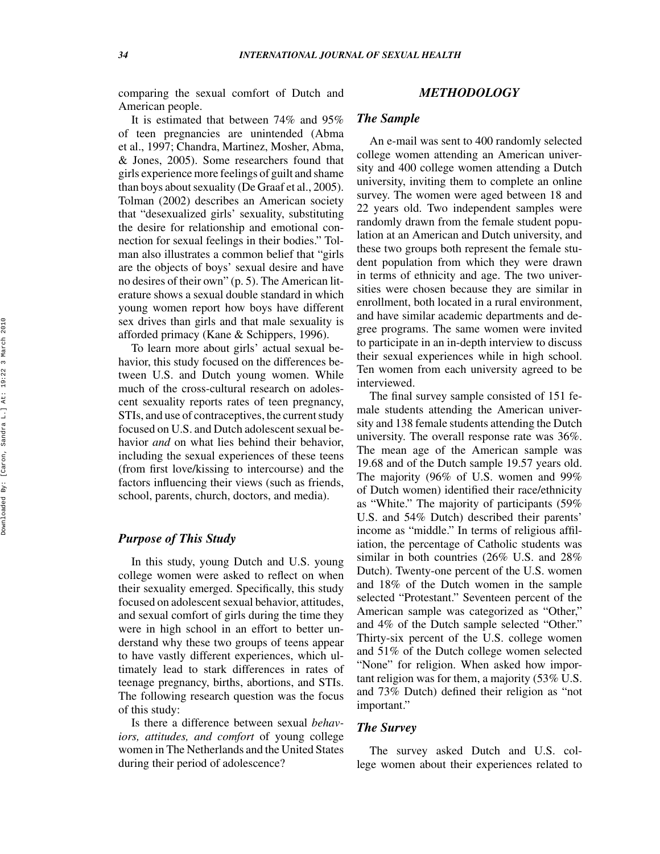comparing the sexual comfort of Dutch and American people.

It is estimated that between 74% and 95% of teen pregnancies are unintended (Abma et al., 1997; Chandra, Martinez, Mosher, Abma, & Jones, 2005). Some researchers found that girls experience more feelings of guilt and shame than boys about sexuality (De Graaf et al., 2005). Tolman (2002) describes an American society that "desexualized girls' sexuality, substituting the desire for relationship and emotional connection for sexual feelings in their bodies." Tolman also illustrates a common belief that "girls are the objects of boys' sexual desire and have no desires of their own" (p. 5). The American literature shows a sexual double standard in which young women report how boys have different sex drives than girls and that male sexuality is afforded primacy (Kane & Schippers, 1996).

To learn more about girls' actual sexual behavior, this study focused on the differences between U.S. and Dutch young women. While much of the cross-cultural research on adolescent sexuality reports rates of teen pregnancy, STIs, and use of contraceptives, the current study focused on U.S. and Dutch adolescent sexual behavior *and* on what lies behind their behavior, including the sexual experiences of these teens (from first love/kissing to intercourse) and the factors influencing their views (such as friends, school, parents, church, doctors, and media).

# *Purpose of This Study*

In this study, young Dutch and U.S. young college women were asked to reflect on when their sexuality emerged. Specifically, this study focused on adolescent sexual behavior, attitudes, and sexual comfort of girls during the time they were in high school in an effort to better understand why these two groups of teens appear to have vastly different experiences, which ultimately lead to stark differences in rates of teenage pregnancy, births, abortions, and STIs. The following research question was the focus of this study:

Is there a difference between sexual *behaviors, attitudes, and comfort* of young college women in The Netherlands and the United States during their period of adolescence?

#### *METHODOLOGY*

## *The Sample*

An e-mail was sent to 400 randomly selected college women attending an American university and 400 college women attending a Dutch university, inviting them to complete an online survey. The women were aged between 18 and 22 years old. Two independent samples were randomly drawn from the female student population at an American and Dutch university, and these two groups both represent the female student population from which they were drawn in terms of ethnicity and age. The two universities were chosen because they are similar in enrollment, both located in a rural environment, and have similar academic departments and degree programs. The same women were invited to participate in an in-depth interview to discuss their sexual experiences while in high school. Ten women from each university agreed to be interviewed.

The final survey sample consisted of 151 female students attending the American university and 138 female students attending the Dutch university. The overall response rate was 36%. The mean age of the American sample was 19.68 and of the Dutch sample 19.57 years old. The majority (96% of U.S. women and 99% of Dutch women) identified their race/ethnicity as "White." The majority of participants (59% U.S. and 54% Dutch) described their parents' income as "middle." In terms of religious affiliation, the percentage of Catholic students was similar in both countries (26% U.S. and 28% Dutch). Twenty-one percent of the U.S. women and 18% of the Dutch women in the sample selected "Protestant." Seventeen percent of the American sample was categorized as "Other," and 4% of the Dutch sample selected "Other." Thirty-six percent of the U.S. college women and 51% of the Dutch college women selected "None" for religion. When asked how important religion was for them, a majority (53% U.S. and 73% Dutch) defined their religion as "not important."

### *The Survey*

The survey asked Dutch and U.S. college women about their experiences related to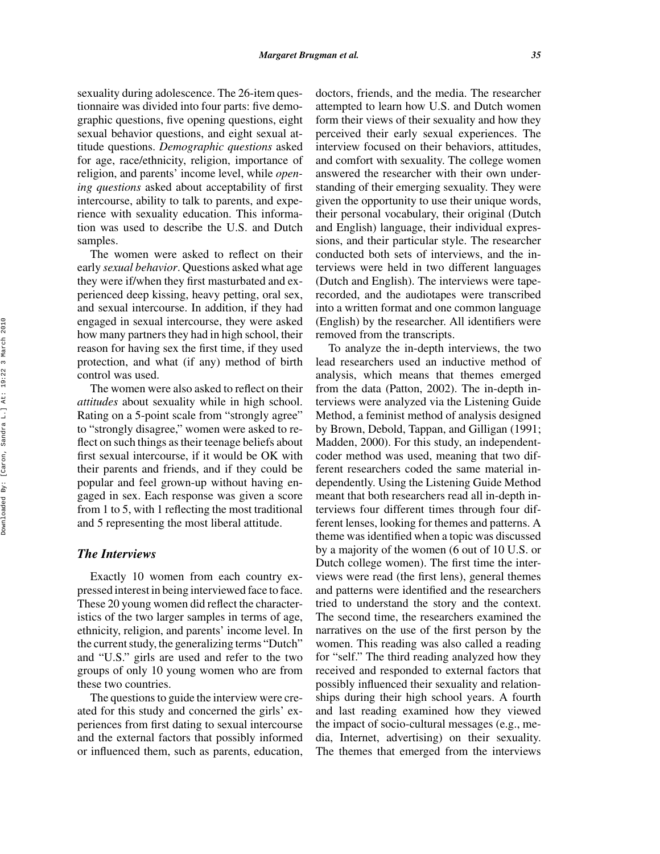sexuality during adolescence. The 26-item questionnaire was divided into four parts: five demographic questions, five opening questions, eight sexual behavior questions, and eight sexual attitude questions. *Demographic questions* asked for age, race/ethnicity, religion, importance of religion, and parents' income level, while *opening questions* asked about acceptability of first intercourse, ability to talk to parents, and experience with sexuality education. This information was used to describe the U.S. and Dutch samples.

The women were asked to reflect on their early *sexual behavior*. Questions asked what age they were if/when they first masturbated and experienced deep kissing, heavy petting, oral sex, and sexual intercourse. In addition, if they had engaged in sexual intercourse, they were asked how many partners they had in high school, their reason for having sex the first time, if they used protection, and what (if any) method of birth control was used.

The women were also asked to reflect on their *attitudes* about sexuality while in high school. Rating on a 5-point scale from "strongly agree" to "strongly disagree," women were asked to reflect on such things as their teenage beliefs about first sexual intercourse, if it would be OK with their parents and friends, and if they could be popular and feel grown-up without having engaged in sex. Each response was given a score from 1 to 5, with 1 reflecting the most traditional and 5 representing the most liberal attitude.

#### *The Interviews*

Exactly 10 women from each country expressed interest in being interviewed face to face. These 20 young women did reflect the characteristics of the two larger samples in terms of age, ethnicity, religion, and parents' income level. In the current study, the generalizing terms "Dutch" and "U.S." girls are used and refer to the two groups of only 10 young women who are from these two countries.

The questions to guide the interview were created for this study and concerned the girls' experiences from first dating to sexual intercourse and the external factors that possibly informed or influenced them, such as parents, education,

doctors, friends, and the media. The researcher attempted to learn how U.S. and Dutch women form their views of their sexuality and how they perceived their early sexual experiences. The interview focused on their behaviors, attitudes, and comfort with sexuality. The college women answered the researcher with their own understanding of their emerging sexuality. They were given the opportunity to use their unique words, their personal vocabulary, their original (Dutch and English) language, their individual expressions, and their particular style. The researcher conducted both sets of interviews, and the interviews were held in two different languages (Dutch and English). The interviews were taperecorded, and the audiotapes were transcribed into a written format and one common language (English) by the researcher. All identifiers were removed from the transcripts.

To analyze the in-depth interviews, the two lead researchers used an inductive method of analysis, which means that themes emerged from the data (Patton, 2002). The in-depth interviews were analyzed via the Listening Guide Method, a feminist method of analysis designed by Brown, Debold, Tappan, and Gilligan (1991; Madden, 2000). For this study, an independentcoder method was used, meaning that two different researchers coded the same material independently. Using the Listening Guide Method meant that both researchers read all in-depth interviews four different times through four different lenses, looking for themes and patterns. A theme was identified when a topic was discussed by a majority of the women (6 out of 10 U.S. or Dutch college women). The first time the interviews were read (the first lens), general themes and patterns were identified and the researchers tried to understand the story and the context. The second time, the researchers examined the narratives on the use of the first person by the women. This reading was also called a reading for "self." The third reading analyzed how they received and responded to external factors that possibly influenced their sexuality and relationships during their high school years. A fourth and last reading examined how they viewed the impact of socio-cultural messages (e.g., media, Internet, advertising) on their sexuality. The themes that emerged from the interviews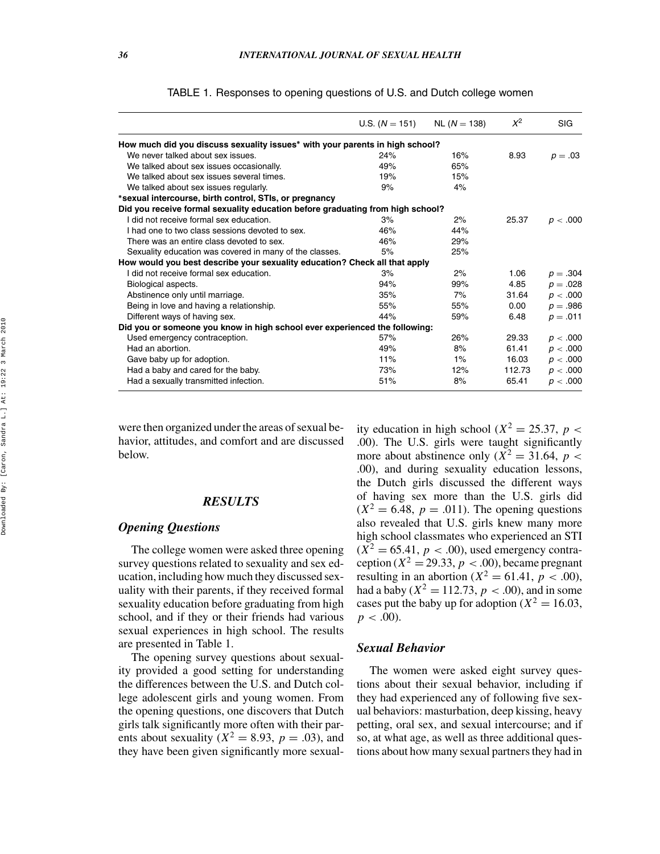|                                                                                |                  |                | $X^2$  | <b>SIG</b> |
|--------------------------------------------------------------------------------|------------------|----------------|--------|------------|
|                                                                                | U.S. $(N = 151)$ | $NL (N = 138)$ |        |            |
| How much did you discuss sexuality issues* with your parents in high school?   |                  |                |        |            |
| We never talked about sex issues.                                              | 24%              | 16%            | 8.93   | $p=.03$    |
| We talked about sex issues occasionally.                                       | 49%              | 65%            |        |            |
| We talked about sex issues several times.                                      | 19%              | 15%            |        |            |
| We talked about sex issues regularly.                                          | 9%               | 4%             |        |            |
| *sexual intercourse, birth control, STIs, or pregnancy                         |                  |                |        |            |
| Did you receive formal sexuality education before graduating from high school? |                  |                |        |            |
| I did not receive formal sex education.                                        | 3%               | 2%             | 25.37  | p < .000   |
| I had one to two class sessions devoted to sex.                                | 46%              | 44%            |        |            |
| There was an entire class devoted to sex.                                      | 46%              | 29%            |        |            |
| Sexuality education was covered in many of the classes.                        | 5%               | 25%            |        |            |
| How would you best describe your sexuality education? Check all that apply     |                  |                |        |            |
| I did not receive formal sex education.                                        | 3%               | 2%             | 1.06   | $p=.304$   |
| Biological aspects.                                                            | 94%              | 99%            | 4.85   | $p=.028$   |
| Abstinence only until marriage.                                                | 35%              | 7%             | 31.64  | p < .000   |
| Being in love and having a relationship.                                       | 55%              | 55%            | 0.00   | $p = .986$ |
| Different ways of having sex.                                                  | 44%              | 59%            | 6.48   | $p=.011$   |
| Did you or someone you know in high school ever experienced the following:     |                  |                |        |            |
| Used emergency contraception.                                                  | 57%              | 26%            | 29.33  | p < .000   |
| Had an abortion.                                                               | 49%              | 8%             | 61.41  | p < .000   |
| Gave baby up for adoption.                                                     | 11%              | $1\%$          | 16.03  | p < .000   |
| Had a baby and cared for the baby.                                             | 73%              | 12%            | 112.73 | p < .000   |
| Had a sexually transmitted infection.                                          | 51%              | 8%             | 65.41  | p < .000   |
|                                                                                |                  |                |        |            |

TABLE 1. Responses to opening questions of U.S. and Dutch college women

were then organized under the areas of sexual behavior, attitudes, and comfort and are discussed below.

#### *RESULTS*

# *Opening Questions*

The college women were asked three opening survey questions related to sexuality and sex education, including how much they discussed sexuality with their parents, if they received formal sexuality education before graduating from high school, and if they or their friends had various sexual experiences in high school. The results are presented in Table 1.

The opening survey questions about sexuality provided a good setting for understanding the differences between the U.S. and Dutch college adolescent girls and young women. From the opening questions, one discovers that Dutch girls talk significantly more often with their parents about sexuality ( $X^2 = 8.93$ ,  $p = .03$ ), and they have been given significantly more sexuality education in high school ( $X^2 = 25.37$ ,  $p <$ .00). The U.S. girls were taught significantly more about abstinence only  $(X^2 = 31.64, p <$ .00), and during sexuality education lessons, the Dutch girls discussed the different ways of having sex more than the U.S. girls did  $(X^2 = 6.48, p = .011)$ . The opening questions also revealed that U.S. girls knew many more high school classmates who experienced an STI  $(X^2 = 65.41, p < .00)$ , used emergency contraception  $(X^2 = 29.33, p < .00)$ , became pregnant resulting in an abortion ( $X^2 = 61.41$ ,  $p < .00$ ), had a baby ( $X^2 = 112.73$ ,  $p < .00$ ), and in some cases put the baby up for adoption  $(X^2 = 16.03)$ ,  $p < .00$ ).

# *Sexual Behavior*

The women were asked eight survey questions about their sexual behavior, including if they had experienced any of following five sexual behaviors: masturbation, deep kissing, heavy petting, oral sex, and sexual intercourse; and if so, at what age, as well as three additional questions about how many sexual partners they had in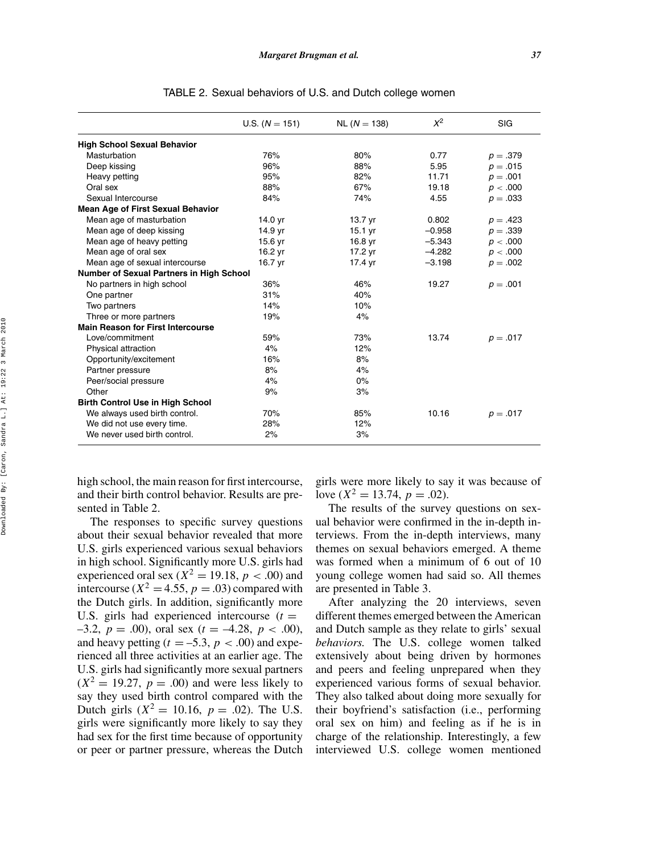|                                          | U.S. $(N = 151)$ | $NL (N = 138)$ | $X^2$    | <b>SIG</b> |
|------------------------------------------|------------------|----------------|----------|------------|
| <b>High School Sexual Behavior</b>       |                  |                |          |            |
| Masturbation                             | 76%              | 80%            | 0.77     | $p=.379$   |
| Deep kissing                             | 96%              | 88%            | 5.95     | $p = .015$ |
| Heavy petting                            | 95%              | 82%            | 11.71    | $p = .001$ |
| Oral sex                                 | 88%              | 67%            | 19.18    | p < .000   |
| Sexual Intercourse                       | 84%              | 74%            | 4.55     | $p=.033$   |
| <b>Mean Age of First Sexual Behavior</b> |                  |                |          |            |
| Mean age of masturbation                 | 14.0 yr          | 13.7 yr        | 0.802    | $p = .423$ |
| Mean age of deep kissing                 | 14.9 yr          | $15.1$ yr      | $-0.958$ | $p=.339$   |
| Mean age of heavy petting                | $15.6$ yr        | 16.8 yr        | $-5.343$ | p < .000   |
| Mean age of oral sex                     | 16.2 yr          | 17.2 yr        | $-4.282$ | p < .000   |
| Mean age of sexual intercourse           | 16.7 yr          | 17.4 yr        | $-3.198$ | $p = .002$ |
| Number of Sexual Partners in High School |                  |                |          |            |
| No partners in high school               | 36%              | 46%            | 19.27    | $p=.001$   |
| One partner                              | 31%              | 40%            |          |            |
| Two partners                             | 14%              | 10%            |          |            |
| Three or more partners                   | 19%              | 4%             |          |            |
| <b>Main Reason for First Intercourse</b> |                  |                |          |            |
| Love/commitment                          | 59%              | 73%            | 13.74    | $p = .017$ |
| Physical attraction                      | 4%               | 12%            |          |            |
| Opportunity/excitement                   | 16%              | 8%             |          |            |
| Partner pressure                         | 8%               | 4%             |          |            |
| Peer/social pressure                     | 4%               | $0\%$          |          |            |
| Other                                    | 9%               | 3%             |          |            |
| <b>Birth Control Use in High School</b>  |                  |                |          |            |
| We always used birth control.            | 70%              | 85%            | 10.16    | $p = .017$ |
| We did not use every time.               | 28%              | 12%            |          |            |
| We never used birth control.             | 2%               | 3%             |          |            |

TABLE 2. Sexual behaviors of U.S. and Dutch college women

high school, the main reason for first intercourse, and their birth control behavior. Results are presented in Table 2.

The responses to specific survey questions about their sexual behavior revealed that more U.S. girls experienced various sexual behaviors in high school. Significantly more U.S. girls had experienced oral sex ( $X^2 = 19.18$ ,  $p < .00$ ) and intercourse ( $X^2 = 4.55$ ,  $p = .03$ ) compared with the Dutch girls. In addition, significantly more U.S. girls had experienced intercourse  $(t =$  $-3.2, p = .00$ , oral sex ( $t = -4.28, p < .00$ ), and heavy petting  $(t = -5.3, p < .00)$  and experienced all three activities at an earlier age. The U.S. girls had significantly more sexual partners  $(X^2 = 19.27, p = .00)$  and were less likely to say they used birth control compared with the Dutch girls  $(X^2 = 10.16, p = .02)$ . The U.S. girls were significantly more likely to say they had sex for the first time because of opportunity or peer or partner pressure, whereas the Dutch

girls were more likely to say it was because of love  $(X^2 = 13.74, p = .02)$ .

The results of the survey questions on sexual behavior were confirmed in the in-depth interviews. From the in-depth interviews, many themes on sexual behaviors emerged. A theme was formed when a minimum of 6 out of 10 young college women had said so. All themes are presented in Table 3.

After analyzing the 20 interviews, seven different themes emerged between the American and Dutch sample as they relate to girls' sexual *behaviors.* The U.S. college women talked extensively about being driven by hormones and peers and feeling unprepared when they experienced various forms of sexual behavior. They also talked about doing more sexually for their boyfriend's satisfaction (i.e., performing oral sex on him) and feeling as if he is in charge of the relationship. Interestingly, a few interviewed U.S. college women mentioned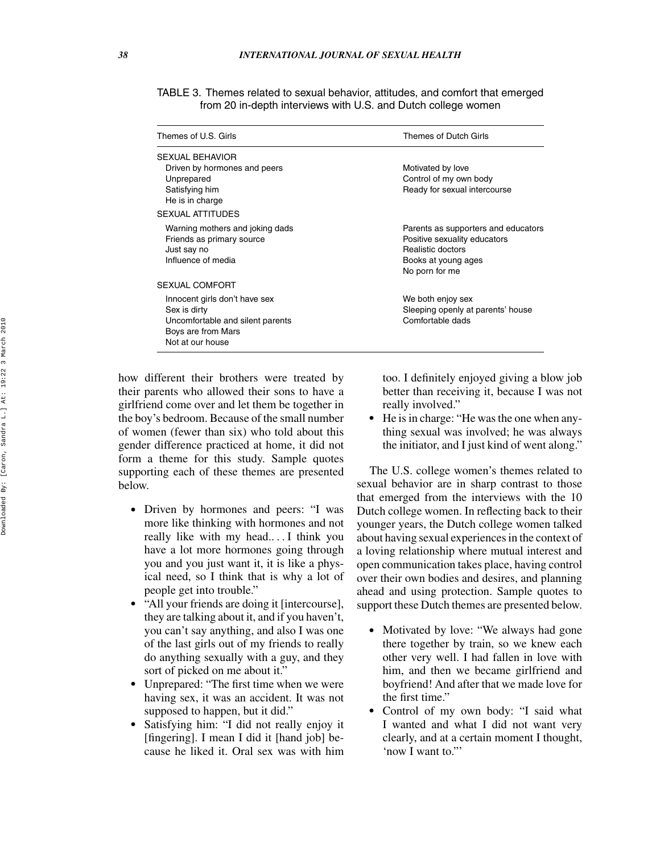| Themes of U.S. Girls                                                       | Themes of Dutch Girls                                               |  |
|----------------------------------------------------------------------------|---------------------------------------------------------------------|--|
| <b>SEXUAL BEHAVIOR</b>                                                     |                                                                     |  |
| Driven by hormones and peers                                               | Motivated by love                                                   |  |
| Unprepared                                                                 | Control of my own body                                              |  |
| Satisfying him                                                             | Ready for sexual intercourse                                        |  |
| He is in charge                                                            |                                                                     |  |
| <b>SEXUAL ATTITUDES</b>                                                    |                                                                     |  |
| Warning mothers and joking dads<br>Friends as primary source               | Parents as supporters and educators<br>Positive sexuality educators |  |
| Just say no                                                                | Realistic doctors                                                   |  |
| Influence of media                                                         | Books at young ages                                                 |  |
|                                                                            | No porn for me                                                      |  |
| <b>SEXUAL COMFORT</b>                                                      |                                                                     |  |
| Innocent girls don't have sex                                              | We both enjoy sex                                                   |  |
| Sex is dirty                                                               | Sleeping openly at parents' house                                   |  |
| Uncomfortable and silent parents<br>Boys are from Mars<br>Not at our house | Comfortable dads                                                    |  |
|                                                                            |                                                                     |  |

TABLE 3. Themes related to sexual behavior, attitudes, and comfort that emerged from 20 in-depth interviews with U.S. and Dutch college women

how different their brothers were treated by their parents who allowed their sons to have a girlfriend come over and let them be together in the boy's bedroom. Because of the small number of women (fewer than six) who told about this gender difference practiced at home, it did not form a theme for this study. Sample quotes supporting each of these themes are presented below.

- Driven by hormones and peers: "I was more like thinking with hormones and not really like with my head.. . . I think you have a lot more hormones going through you and you just want it, it is like a physical need, so I think that is why a lot of people get into trouble."
- "All your friends are doing it [intercourse], they are talking about it, and if you haven't, you can't say anything, and also I was one of the last girls out of my friends to really do anything sexually with a guy, and they sort of picked on me about it."
- Unprepared: "The first time when we were having sex, it was an accident. It was not supposed to happen, but it did."
- Satisfying him: "I did not really enjoy it [fingering]. I mean I did it [hand job] because he liked it. Oral sex was with him

too. I definitely enjoyed giving a blow job better than receiving it, because I was not really involved."

 He is in charge: "He was the one when anything sexual was involved; he was always the initiator, and I just kind of went along."

The U.S. college women's themes related to sexual behavior are in sharp contrast to those that emerged from the interviews with the 10 Dutch college women. In reflecting back to their younger years, the Dutch college women talked about having sexual experiences in the context of a loving relationship where mutual interest and open communication takes place, having control over their own bodies and desires, and planning ahead and using protection. Sample quotes to support these Dutch themes are presented below.

- Motivated by love: "We always had gone there together by train, so we knew each other very well. I had fallen in love with him, and then we became girlfriend and boyfriend! And after that we made love for the first time."
- Control of my own body: "I said what I wanted and what I did not want very clearly, and at a certain moment I thought, 'now I want to."'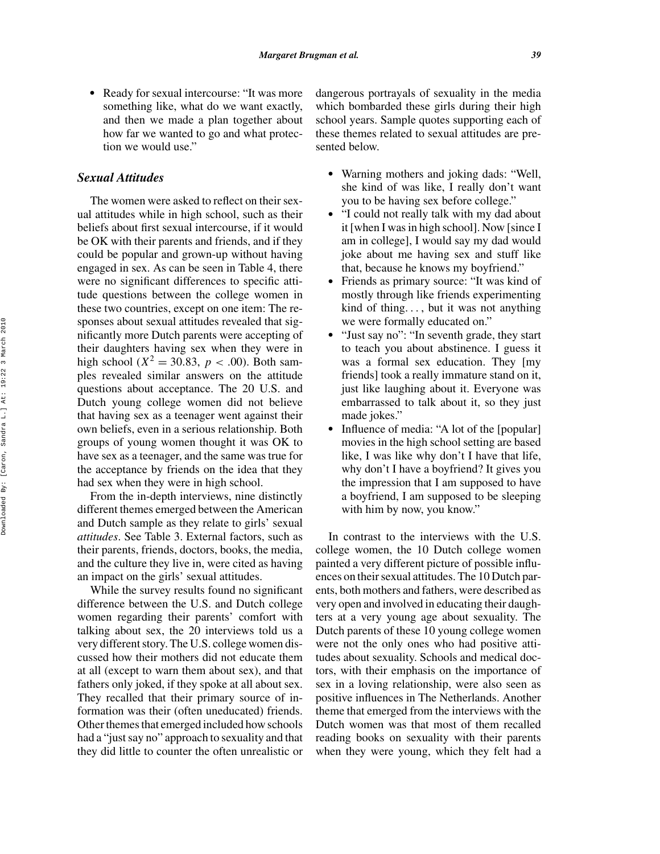• Ready for sexual intercourse: "It was more something like, what do we want exactly, and then we made a plan together about how far we wanted to go and what protection we would use."

# *Sexual Attitudes*

The women were asked to reflect on their sexual attitudes while in high school, such as their beliefs about first sexual intercourse, if it would be OK with their parents and friends, and if they could be popular and grown-up without having engaged in sex. As can be seen in Table 4, there were no significant differences to specific attitude questions between the college women in these two countries, except on one item: The responses about sexual attitudes revealed that significantly more Dutch parents were accepting of their daughters having sex when they were in high school ( $X^2 = 30.83$ ,  $p < .00$ ). Both samples revealed similar answers on the attitude questions about acceptance. The 20 U.S. and Dutch young college women did not believe that having sex as a teenager went against their own beliefs, even in a serious relationship. Both groups of young women thought it was OK to have sex as a teenager, and the same was true for the acceptance by friends on the idea that they had sex when they were in high school.

From the in-depth interviews, nine distinctly different themes emerged between the American and Dutch sample as they relate to girls' sexual *attitudes*. See Table 3. External factors, such as their parents, friends, doctors, books, the media, and the culture they live in, were cited as having an impact on the girls' sexual attitudes.

While the survey results found no significant difference between the U.S. and Dutch college women regarding their parents' comfort with talking about sex, the 20 interviews told us a very different story. The U.S. college women discussed how their mothers did not educate them at all (except to warn them about sex), and that fathers only joked, if they spoke at all about sex. They recalled that their primary source of information was their (often uneducated) friends. Other themes that emerged included how schools had a "just say no" approach to sexuality and that they did little to counter the often unrealistic or dangerous portrayals of sexuality in the media which bombarded these girls during their high school years. Sample quotes supporting each of these themes related to sexual attitudes are presented below.

- Warning mothers and joking dads: "Well, she kind of was like, I really don't want you to be having sex before college."
- "I could not really talk with my dad about it [when I was in high school]. Now [since I am in college], I would say my dad would joke about me having sex and stuff like that, because he knows my boyfriend."
- Friends as primary source: "It was kind of mostly through like friends experimenting kind of thing. . . , but it was not anything we were formally educated on."
- "Just say no": "In seventh grade, they start to teach you about abstinence. I guess it was a formal sex education. They [my friends] took a really immature stand on it, just like laughing about it. Everyone was embarrassed to talk about it, so they just made jokes."
- Influence of media: "A lot of the [popular] movies in the high school setting are based like, I was like why don't I have that life, why don't I have a boyfriend? It gives you the impression that I am supposed to have a boyfriend, I am supposed to be sleeping with him by now, you know."

In contrast to the interviews with the U.S. college women, the 10 Dutch college women painted a very different picture of possible influences on their sexual attitudes. The 10 Dutch parents, both mothers and fathers, were described as very open and involved in educating their daughters at a very young age about sexuality. The Dutch parents of these 10 young college women were not the only ones who had positive attitudes about sexuality. Schools and medical doctors, with their emphasis on the importance of sex in a loving relationship, were also seen as positive influences in The Netherlands. Another theme that emerged from the interviews with the Dutch women was that most of them recalled reading books on sexuality with their parents when they were young, which they felt had a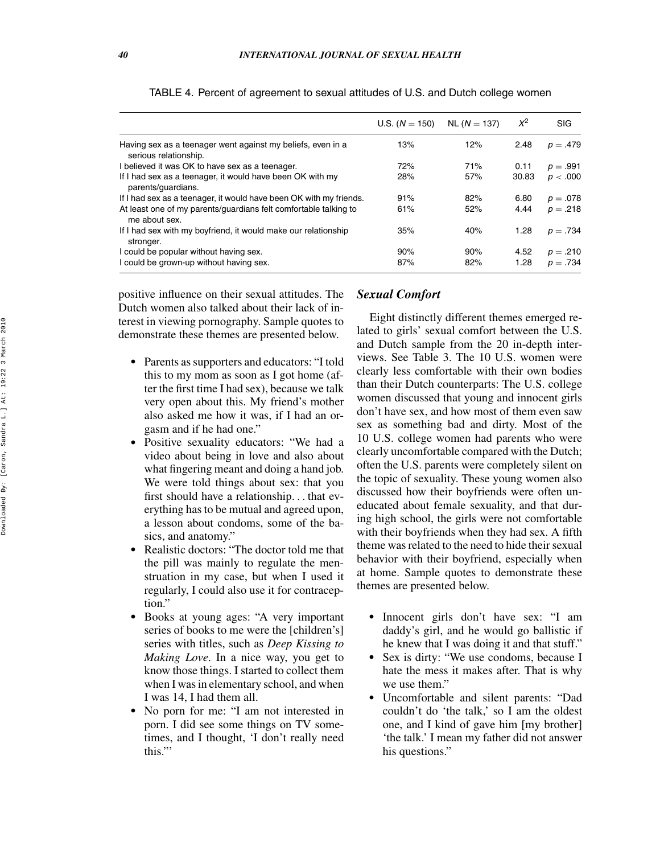|                                                                                      | U.S. $(N = 150)$ | $NL (N = 137)$ | $X^2$ | SIG        |
|--------------------------------------------------------------------------------------|------------------|----------------|-------|------------|
| Having sex as a teenager went against my beliefs, even in a<br>serious relationship. | 13%              | 12%            | 2.48  | $p = .479$ |
| I believed it was OK to have sex as a teenager.                                      | 72%              | 71%            | 0.11  | $p=.991$   |
| If I had sex as a teenager, it would have been OK with my<br>parents/quardians.      | 28%              | 57%            | 30.83 | p < .000   |
| If I had sex as a teenager, it would have been OK with my friends.                   | 91%              | 82%            | 6.80  | $p=.078$   |
| At least one of my parents/guardians felt comfortable talking to<br>me about sex.    | 61%              | 52%            | 4.44  | $p = .218$ |
| If I had sex with my boyfriend, it would make our relationship<br>stronger.          | 35%              | 40%            | 1.28  | $p = .734$ |
| I could be popular without having sex.                                               | 90%              | 90%            | 4.52  | $p=.210$   |
| I could be grown-up without having sex.                                              | 87%              | 82%            | 1.28  | $p = .734$ |
|                                                                                      |                  |                |       |            |

TABLE 4. Percent of agreement to sexual attitudes of U.S. and Dutch college women

positive influence on their sexual attitudes. The Dutch women also talked about their lack of interest in viewing pornography. Sample quotes to demonstrate these themes are presented below.

- Parents as supporters and educators: "I told this to my mom as soon as I got home (after the first time I had sex), because we talk very open about this. My friend's mother also asked me how it was, if I had an orgasm and if he had one."
- Positive sexuality educators: "We had a video about being in love and also about what fingering meant and doing a hand job. We were told things about sex: that you first should have a relationship. . . that everything has to be mutual and agreed upon, a lesson about condoms, some of the basics, and anatomy."
- Realistic doctors: "The doctor told me that the pill was mainly to regulate the menstruation in my case, but when I used it regularly, I could also use it for contraception."
- Books at young ages: "A very important series of books to me were the [children's] series with titles, such as *Deep Kissing to Making Love*. In a nice way, you get to know those things. I started to collect them when I was in elementary school, and when I was 14, I had them all.
- No porn for me: "I am not interested in porn. I did see some things on TV sometimes, and I thought, 'I don't really need this."'

## *Sexual Comfort*

Eight distinctly different themes emerged related to girls' sexual comfort between the U.S. and Dutch sample from the 20 in-depth interviews. See Table 3. The 10 U.S. women were clearly less comfortable with their own bodies than their Dutch counterparts: The U.S. college women discussed that young and innocent girls don't have sex, and how most of them even saw sex as something bad and dirty. Most of the 10 U.S. college women had parents who were clearly uncomfortable compared with the Dutch; often the U.S. parents were completely silent on the topic of sexuality. These young women also discussed how their boyfriends were often uneducated about female sexuality, and that during high school, the girls were not comfortable with their boyfriends when they had sex. A fifth theme was related to the need to hide their sexual behavior with their boyfriend, especially when at home. Sample quotes to demonstrate these themes are presented below.

- Innocent girls don't have sex: "I am daddy's girl, and he would go ballistic if he knew that I was doing it and that stuff."
- Sex is dirty: "We use condoms, because I hate the mess it makes after. That is why we use them."
- Uncomfortable and silent parents: "Dad couldn't do 'the talk,' so I am the oldest one, and I kind of gave him [my brother] 'the talk.' I mean my father did not answer his questions."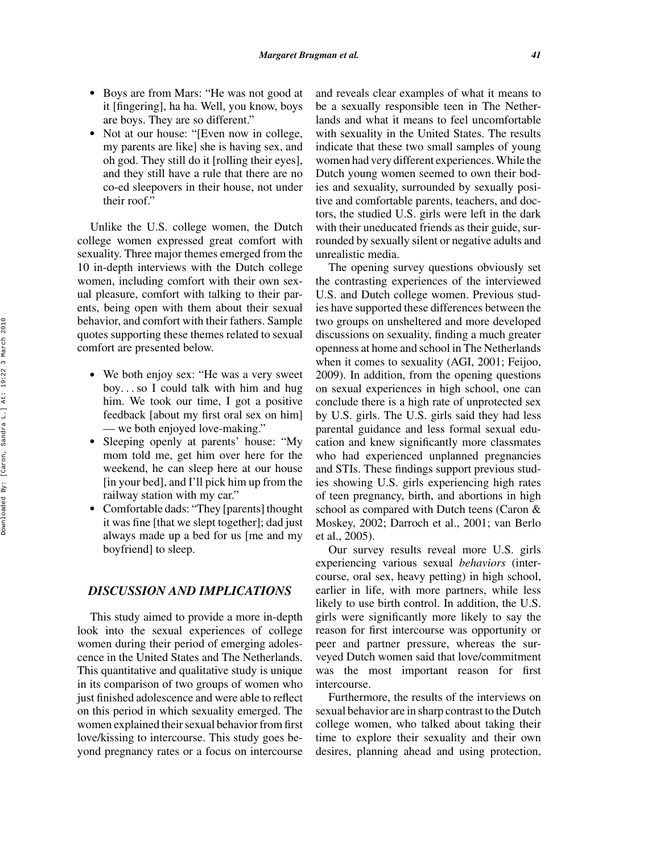- Boys are from Mars: "He was not good at it [fingering], ha ha. Well, you know, boys are boys. They are so different."
- Not at our house: "[Even now in college, my parents are like] she is having sex, and oh god. They still do it [rolling their eyes], and they still have a rule that there are no co-ed sleepovers in their house, not under their roof."

Unlike the U.S. college women, the Dutch college women expressed great comfort with sexuality. Three major themes emerged from the 10 in-depth interviews with the Dutch college women, including comfort with their own sexual pleasure, comfort with talking to their parents, being open with them about their sexual behavior, and comfort with their fathers. Sample quotes supporting these themes related to sexual comfort are presented below.

- We both enjoy sex: "He was a very sweet boy. . . so I could talk with him and hug him. We took our time, I got a positive feedback [about my first oral sex on him] — we both enjoyed love-making."
- Sleeping openly at parents' house: "My mom told me, get him over here for the weekend, he can sleep here at our house [in your bed], and I'll pick him up from the railway station with my car."
- Comfortable dads: "They [parents] thought it was fine [that we slept together]; dad just always made up a bed for us [me and my boyfriend] to sleep.

#### *DISCUSSION AND IMPLICATIONS*

This study aimed to provide a more in-depth look into the sexual experiences of college women during their period of emerging adolescence in the United States and The Netherlands. This quantitative and qualitative study is unique in its comparison of two groups of women who just finished adolescence and were able to reflect on this period in which sexuality emerged. The women explained their sexual behavior from first love/kissing to intercourse. This study goes beyond pregnancy rates or a focus on intercourse and reveals clear examples of what it means to be a sexually responsible teen in The Netherlands and what it means to feel uncomfortable with sexuality in the United States. The results indicate that these two small samples of young women had very different experiences. While the Dutch young women seemed to own their bodies and sexuality, surrounded by sexually positive and comfortable parents, teachers, and doctors, the studied U.S. girls were left in the dark with their uneducated friends as their guide, surrounded by sexually silent or negative adults and unrealistic media.

The opening survey questions obviously set the contrasting experiences of the interviewed U.S. and Dutch college women. Previous studies have supported these differences between the two groups on unsheltered and more developed discussions on sexuality, finding a much greater openness at home and school in The Netherlands when it comes to sexuality (AGI, 2001; Feijoo, 2009). In addition, from the opening questions on sexual experiences in high school, one can conclude there is a high rate of unprotected sex by U.S. girls. The U.S. girls said they had less parental guidance and less formal sexual education and knew significantly more classmates who had experienced unplanned pregnancies and STIs. These findings support previous studies showing U.S. girls experiencing high rates of teen pregnancy, birth, and abortions in high school as compared with Dutch teens (Caron & Moskey, 2002; Darroch et al., 2001; van Berlo et al., 2005).

Our survey results reveal more U.S. girls experiencing various sexual *behaviors* (intercourse, oral sex, heavy petting) in high school, earlier in life, with more partners, while less likely to use birth control. In addition, the U.S. girls were significantly more likely to say the reason for first intercourse was opportunity or peer and partner pressure, whereas the surveyed Dutch women said that love/commitment was the most important reason for first intercourse.

Furthermore, the results of the interviews on sexual behavior are in sharp contrast to the Dutch college women, who talked about taking their time to explore their sexuality and their own desires, planning ahead and using protection,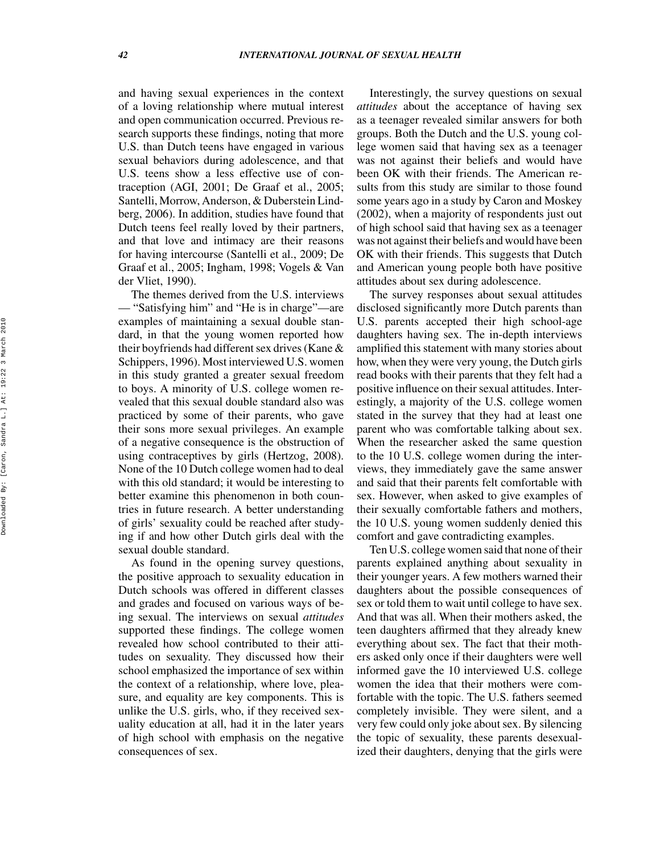and having sexual experiences in the context of a loving relationship where mutual interest and open communication occurred. Previous research supports these findings, noting that more U.S. than Dutch teens have engaged in various sexual behaviors during adolescence, and that U.S. teens show a less effective use of contraception (AGI, 2001; De Graaf et al., 2005; Santelli, Morrow, Anderson, & Duberstein Lindberg, 2006). In addition, studies have found that Dutch teens feel really loved by their partners, and that love and intimacy are their reasons for having intercourse (Santelli et al., 2009; De Graaf et al., 2005; Ingham, 1998; Vogels & Van der Vliet, 1990).

The themes derived from the U.S. interviews — "Satisfying him" and "He is in charge"—are examples of maintaining a sexual double standard, in that the young women reported how their boyfriends had different sex drives (Kane & Schippers, 1996). Most interviewed U.S. women in this study granted a greater sexual freedom to boys. A minority of U.S. college women revealed that this sexual double standard also was practiced by some of their parents, who gave their sons more sexual privileges. An example of a negative consequence is the obstruction of using contraceptives by girls (Hertzog, 2008). None of the 10 Dutch college women had to deal with this old standard; it would be interesting to better examine this phenomenon in both countries in future research. A better understanding of girls' sexuality could be reached after studying if and how other Dutch girls deal with the sexual double standard.

As found in the opening survey questions, the positive approach to sexuality education in Dutch schools was offered in different classes and grades and focused on various ways of being sexual. The interviews on sexual *attitudes* supported these findings. The college women revealed how school contributed to their attitudes on sexuality. They discussed how their school emphasized the importance of sex within the context of a relationship, where love, pleasure, and equality are key components. This is unlike the U.S. girls, who, if they received sexuality education at all, had it in the later years of high school with emphasis on the negative consequences of sex.

Interestingly, the survey questions on sexual *attitudes* about the acceptance of having sex as a teenager revealed similar answers for both groups. Both the Dutch and the U.S. young college women said that having sex as a teenager was not against their beliefs and would have been OK with their friends. The American results from this study are similar to those found some years ago in a study by Caron and Moskey (2002), when a majority of respondents just out of high school said that having sex as a teenager was not against their beliefs and would have been OK with their friends. This suggests that Dutch and American young people both have positive attitudes about sex during adolescence.

The survey responses about sexual attitudes disclosed significantly more Dutch parents than U.S. parents accepted their high school-age daughters having sex. The in-depth interviews amplified this statement with many stories about how, when they were very young, the Dutch girls read books with their parents that they felt had a positive influence on their sexual attitudes. Interestingly, a majority of the U.S. college women stated in the survey that they had at least one parent who was comfortable talking about sex. When the researcher asked the same question to the 10 U.S. college women during the interviews, they immediately gave the same answer and said that their parents felt comfortable with sex. However, when asked to give examples of their sexually comfortable fathers and mothers, the 10 U.S. young women suddenly denied this comfort and gave contradicting examples.

Ten U.S. college women said that none of their parents explained anything about sexuality in their younger years. A few mothers warned their daughters about the possible consequences of sex or told them to wait until college to have sex. And that was all. When their mothers asked, the teen daughters affirmed that they already knew everything about sex. The fact that their mothers asked only once if their daughters were well informed gave the 10 interviewed U.S. college women the idea that their mothers were comfortable with the topic. The U.S. fathers seemed completely invisible. They were silent, and a very few could only joke about sex. By silencing the topic of sexuality, these parents desexualized their daughters, denying that the girls were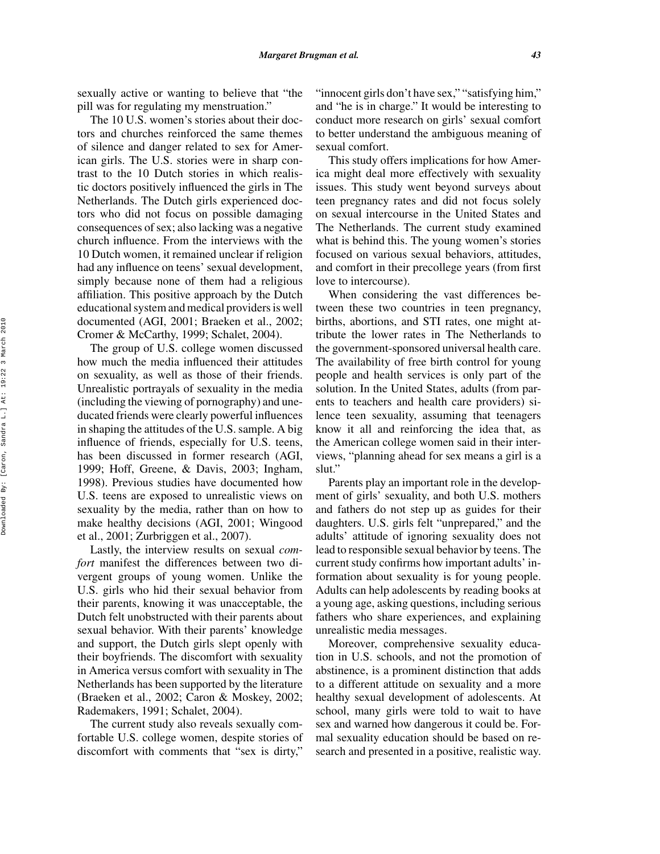sexually active or wanting to believe that "the pill was for regulating my menstruation."

The 10 U.S. women's stories about their doctors and churches reinforced the same themes of silence and danger related to sex for American girls. The U.S. stories were in sharp contrast to the 10 Dutch stories in which realistic doctors positively influenced the girls in The Netherlands. The Dutch girls experienced doctors who did not focus on possible damaging consequences of sex; also lacking was a negative church influence. From the interviews with the 10 Dutch women, it remained unclear if religion had any influence on teens' sexual development, simply because none of them had a religious affiliation. This positive approach by the Dutch educational system and medical providers is well documented (AGI, 2001; Braeken et al., 2002; Cromer & McCarthy, 1999; Schalet, 2004).

The group of U.S. college women discussed how much the media influenced their attitudes on sexuality, as well as those of their friends. Unrealistic portrayals of sexuality in the media (including the viewing of pornography) and uneducated friends were clearly powerful influences in shaping the attitudes of the U.S. sample. A big influence of friends, especially for U.S. teens, has been discussed in former research (AGI, 1999; Hoff, Greene, & Davis, 2003; Ingham, 1998). Previous studies have documented how U.S. teens are exposed to unrealistic views on sexuality by the media, rather than on how to make healthy decisions (AGI, 2001; Wingood et al., 2001; Zurbriggen et al., 2007).

Lastly, the interview results on sexual *comfort* manifest the differences between two divergent groups of young women. Unlike the U.S. girls who hid their sexual behavior from their parents, knowing it was unacceptable, the Dutch felt unobstructed with their parents about sexual behavior. With their parents' knowledge and support, the Dutch girls slept openly with their boyfriends. The discomfort with sexuality in America versus comfort with sexuality in The Netherlands has been supported by the literature (Braeken et al., 2002; Caron & Moskey, 2002; Rademakers, 1991; Schalet, 2004).

The current study also reveals sexually comfortable U.S. college women, despite stories of discomfort with comments that "sex is dirty,"

"innocent girls don't have sex," "satisfying him," and "he is in charge." It would be interesting to conduct more research on girls' sexual comfort to better understand the ambiguous meaning of sexual comfort.

This study offers implications for how America might deal more effectively with sexuality issues. This study went beyond surveys about teen pregnancy rates and did not focus solely on sexual intercourse in the United States and The Netherlands. The current study examined what is behind this. The young women's stories focused on various sexual behaviors, attitudes, and comfort in their precollege years (from first love to intercourse).

When considering the vast differences between these two countries in teen pregnancy, births, abortions, and STI rates, one might attribute the lower rates in The Netherlands to the government-sponsored universal health care. The availability of free birth control for young people and health services is only part of the solution. In the United States, adults (from parents to teachers and health care providers) silence teen sexuality, assuming that teenagers know it all and reinforcing the idea that, as the American college women said in their interviews, "planning ahead for sex means a girl is a slut."

Parents play an important role in the development of girls' sexuality, and both U.S. mothers and fathers do not step up as guides for their daughters. U.S. girls felt "unprepared," and the adults' attitude of ignoring sexuality does not lead to responsible sexual behavior by teens. The current study confirms how important adults' information about sexuality is for young people. Adults can help adolescents by reading books at a young age, asking questions, including serious fathers who share experiences, and explaining unrealistic media messages.

Moreover, comprehensive sexuality education in U.S. schools, and not the promotion of abstinence, is a prominent distinction that adds to a different attitude on sexuality and a more healthy sexual development of adolescents. At school, many girls were told to wait to have sex and warned how dangerous it could be. Formal sexuality education should be based on research and presented in a positive, realistic way.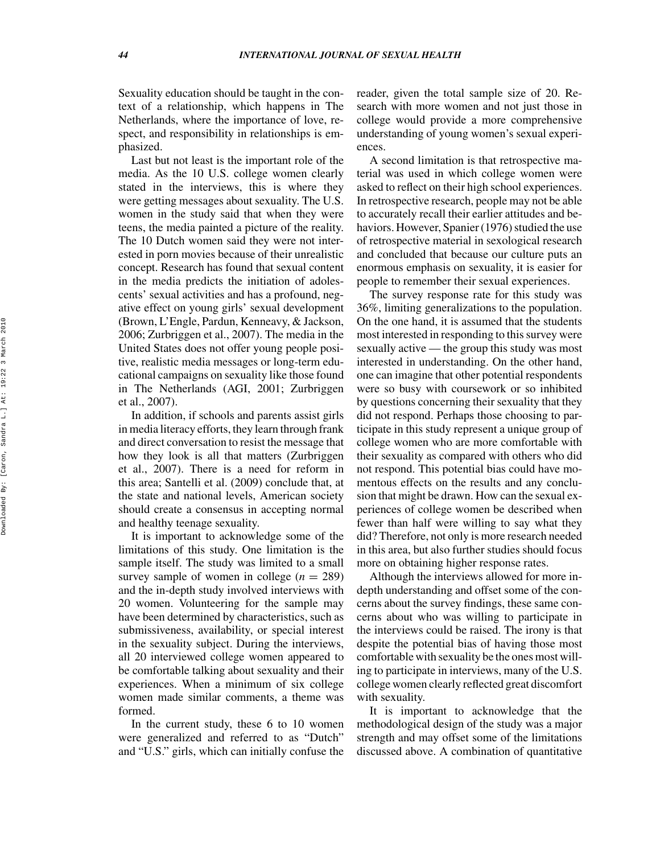Sexuality education should be taught in the context of a relationship, which happens in The Netherlands, where the importance of love, respect, and responsibility in relationships is emphasized.

Last but not least is the important role of the media. As the 10 U.S. college women clearly stated in the interviews, this is where they were getting messages about sexuality. The U.S. women in the study said that when they were teens, the media painted a picture of the reality. The 10 Dutch women said they were not interested in porn movies because of their unrealistic concept. Research has found that sexual content in the media predicts the initiation of adolescents' sexual activities and has a profound, negative effect on young girls' sexual development (Brown, L'Engle, Pardun, Kenneavy, & Jackson, 2006; Zurbriggen et al., 2007). The media in the United States does not offer young people positive, realistic media messages or long-term educational campaigns on sexuality like those found in The Netherlands (AGI, 2001; Zurbriggen et al., 2007).

In addition, if schools and parents assist girls in media literacy efforts, they learn through frank and direct conversation to resist the message that how they look is all that matters (Zurbriggen et al., 2007). There is a need for reform in this area; Santelli et al. (2009) conclude that, at the state and national levels, American society should create a consensus in accepting normal and healthy teenage sexuality.

It is important to acknowledge some of the limitations of this study. One limitation is the sample itself. The study was limited to a small survey sample of women in college  $(n = 289)$ and the in-depth study involved interviews with 20 women. Volunteering for the sample may have been determined by characteristics, such as submissiveness, availability, or special interest in the sexuality subject. During the interviews, all 20 interviewed college women appeared to be comfortable talking about sexuality and their experiences. When a minimum of six college women made similar comments, a theme was formed.

In the current study, these 6 to 10 women were generalized and referred to as "Dutch" and "U.S." girls, which can initially confuse the reader, given the total sample size of 20. Research with more women and not just those in college would provide a more comprehensive understanding of young women's sexual experiences.

A second limitation is that retrospective material was used in which college women were asked to reflect on their high school experiences. In retrospective research, people may not be able to accurately recall their earlier attitudes and behaviors. However, Spanier (1976) studied the use of retrospective material in sexological research and concluded that because our culture puts an enormous emphasis on sexuality, it is easier for people to remember their sexual experiences.

The survey response rate for this study was 36%, limiting generalizations to the population. On the one hand, it is assumed that the students most interested in responding to this survey were sexually active — the group this study was most interested in understanding. On the other hand, one can imagine that other potential respondents were so busy with coursework or so inhibited by questions concerning their sexuality that they did not respond. Perhaps those choosing to participate in this study represent a unique group of college women who are more comfortable with their sexuality as compared with others who did not respond. This potential bias could have momentous effects on the results and any conclusion that might be drawn. How can the sexual experiences of college women be described when fewer than half were willing to say what they did? Therefore, not only is more research needed in this area, but also further studies should focus more on obtaining higher response rates.

Although the interviews allowed for more indepth understanding and offset some of the concerns about the survey findings, these same concerns about who was willing to participate in the interviews could be raised. The irony is that despite the potential bias of having those most comfortable with sexuality be the ones most willing to participate in interviews, many of the U.S. college women clearly reflected great discomfort with sexuality.

It is important to acknowledge that the methodological design of the study was a major strength and may offset some of the limitations discussed above. A combination of quantitative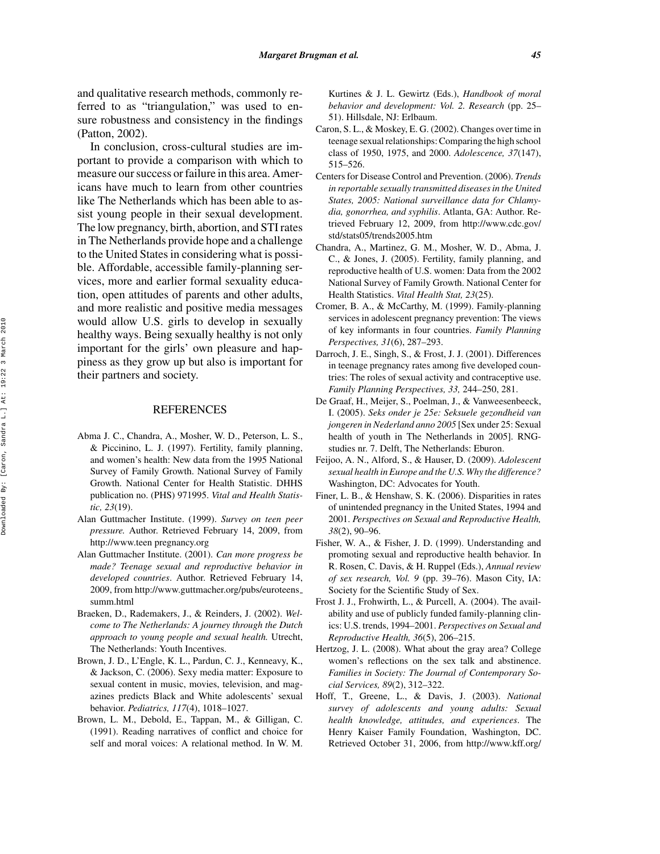and qualitative research methods, commonly referred to as "triangulation," was used to ensure robustness and consistency in the findings (Patton, 2002).

In conclusion, cross-cultural studies are important to provide a comparison with which to measure our success or failure in this area. Americans have much to learn from other countries like The Netherlands which has been able to assist young people in their sexual development. The low pregnancy, birth, abortion, and STI rates in The Netherlands provide hope and a challenge to the United States in considering what is possible. Affordable, accessible family-planning services, more and earlier formal sexuality education, open attitudes of parents and other adults, and more realistic and positive media messages would allow U.S. girls to develop in sexually healthy ways. Being sexually healthy is not only important for the girls' own pleasure and happiness as they grow up but also is important for their partners and society.

#### REFERENCES

- Abma J. C., Chandra, A., Mosher, W. D., Peterson, L. S., & Piccinino, L. J. (1997). Fertility, family planning, and women's health: New data from the 1995 National Survey of Family Growth. National Survey of Family Growth. National Center for Health Statistic. DHHS publication no. (PHS) 971995. *Vital and Health Statistic, 23*(19).
- Alan Guttmacher Institute. (1999). *Survey on teen peer pressure.* Author. Retrieved February 14, 2009, from http://www.teen pregnancy.org
- Alan Guttmacher Institute. (2001). *Can more progress be made? Teenage sexual and reproductive behavior in developed countries*. Author. Retrieved February 14, 2009, from http://www.guttmacher.org/pubs/euroteens summ.html
- Braeken, D., Rademakers, J., & Reinders, J. (2002). *Welcome to The Netherlands: A journey through the Dutch approach to young people and sexual health.* Utrecht, The Netherlands: Youth Incentives.
- Brown, J. D., L'Engle, K. L., Pardun, C. J., Kenneavy, K., & Jackson, C. (2006). Sexy media matter: Exposure to sexual content in music, movies, television, and magazines predicts Black and White adolescents' sexual behavior. *Pediatrics, 117*(4), 1018–1027.
- Brown, L. M., Debold, E., Tappan, M., & Gilligan, C. (1991). Reading narratives of conflict and choice for self and moral voices: A relational method. In W. M.

Kurtines & J. L. Gewirtz (Eds.), *Handbook of moral behavior and development: Vol. 2. Research* (pp. 25– 51). Hillsdale, NJ: Erlbaum.

- Caron, S. L., & Moskey, E. G. (2002). Changes over time in teenage sexual relationships: Comparing the high school class of 1950, 1975, and 2000. *Adolescence, 37*(147), 515–526.
- Centers for Disease Control and Prevention. (2006). *Trends in reportable sexually transmitted diseases in the United States, 2005: National surveillance data for Chlamydia, gonorrhea, and syphilis*. Atlanta, GA: Author. Retrieved February 12, 2009, from http://www.cdc.gov/ std/stats05/trends2005.htm
- Chandra, A., Martinez, G. M., Mosher, W. D., Abma, J. C., & Jones, J. (2005). Fertility, family planning, and reproductive health of U.S. women: Data from the 2002 National Survey of Family Growth. National Center for Health Statistics. *Vital Health Stat, 23*(25).
- Cromer, B. A., & McCarthy, M. (1999). Family-planning services in adolescent pregnancy prevention: The views of key informants in four countries. *Family Planning Perspectives, 31*(6), 287–293.
- Darroch, J. E., Singh, S., & Frost, J. J. (2001). Differences in teenage pregnancy rates among five developed countries: The roles of sexual activity and contraceptive use. *Family Planning Perspectives, 33,* 244–250, 281.
- De Graaf, H., Meijer, S., Poelman, J., & Vanweesenbeeck, I. (2005). *Seks onder je 25e: Seksuele gezondheid van jongeren in Nederland anno 2005* [Sex under 25: Sexual health of youth in The Netherlands in 2005]. RNGstudies nr. 7. Delft, The Netherlands: Eburon.
- Feijoo, A. N., Alford, S., & Hauser, D. (2009). *Adolescent sexual health in Europe and the U.S. Why the difference?* Washington, DC: Advocates for Youth.
- Finer, L. B., & Henshaw, S. K. (2006). Disparities in rates of unintended pregnancy in the United States, 1994 and 2001. *Perspectives on Sexual and Reproductive Health, 38*(2), 90–96.
- Fisher, W. A., & Fisher, J. D. (1999). Understanding and promoting sexual and reproductive health behavior. In R. Rosen, C. Davis, & H. Ruppel (Eds.), *Annual review of sex research, Vol. 9* (pp. 39–76). Mason City, IA: Society for the Scientific Study of Sex.
- Frost J. J., Frohwirth, L., & Purcell, A. (2004). The availability and use of publicly funded family-planning clinics: U.S. trends, 1994–2001. *Perspectives on Sexual and Reproductive Health, 36*(5), 206–215.
- Hertzog, J. L. (2008). What about the gray area? College women's reflections on the sex talk and abstinence. *Families in Society: The Journal of Contemporary Social Services, 89*(2), 312–322.
- Hoff, T., Greene, L., & Davis, J. (2003). *National survey of adolescents and young adults: Sexual health knowledge, attitudes, and experiences*. The Henry Kaiser Family Foundation, Washington, DC. Retrieved October 31, 2006, from http://www.kff.org/